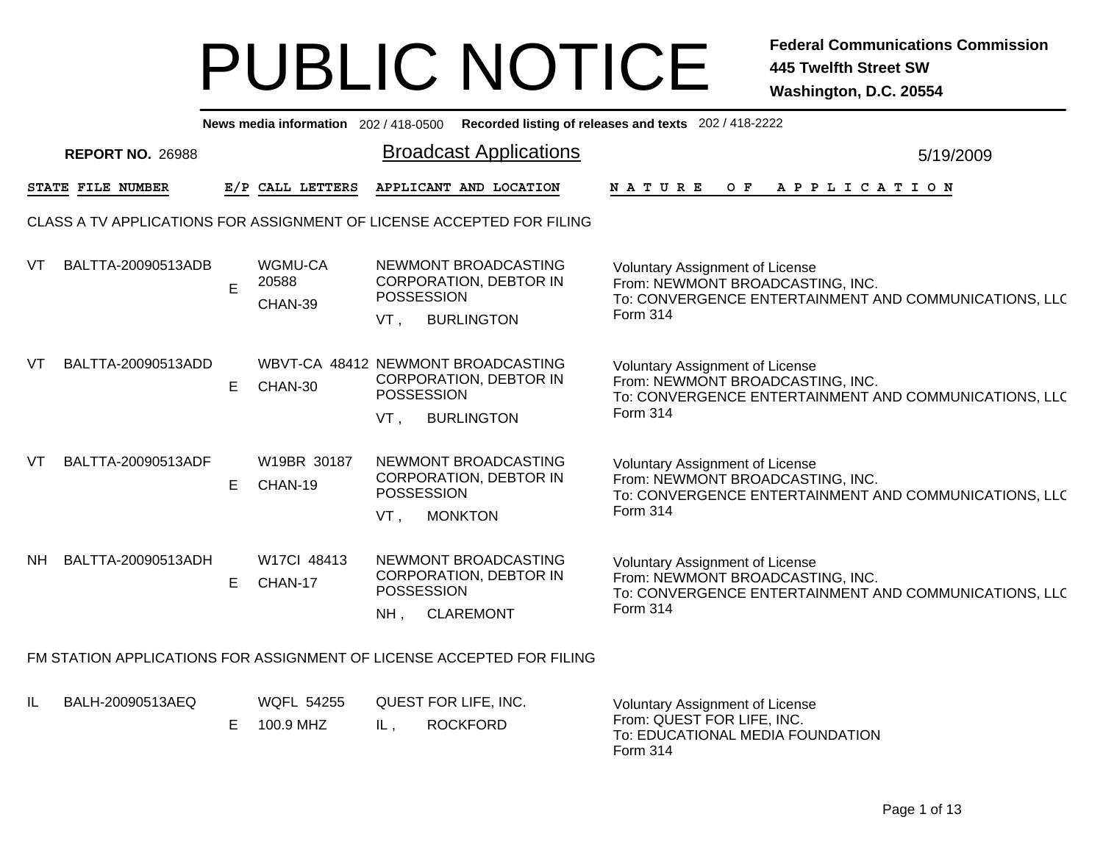|     | News media information 202 / 418-0500 Recorded listing of releases and texts 202 / 418-2222 |             |                                               |                             |                                                                            |                                                                                                                                                        |           |  |  |  |  |
|-----|---------------------------------------------------------------------------------------------|-------------|-----------------------------------------------|-----------------------------|----------------------------------------------------------------------------|--------------------------------------------------------------------------------------------------------------------------------------------------------|-----------|--|--|--|--|
|     | <b>REPORT NO. 26988</b>                                                                     |             |                                               |                             | <b>Broadcast Applications</b>                                              |                                                                                                                                                        | 5/19/2009 |  |  |  |  |
|     | STATE FILE NUMBER                                                                           |             | E/P CALL LETTERS                              |                             | APPLICANT AND LOCATION                                                     | NATURE<br>O F<br>A P P L I C A T I O N                                                                                                                 |           |  |  |  |  |
|     | CLASS A TV APPLICATIONS FOR ASSIGNMENT OF LICENSE ACCEPTED FOR FILING                       |             |                                               |                             |                                                                            |                                                                                                                                                        |           |  |  |  |  |
| VT  | BALTTA-20090513ADB                                                                          | $\mathsf E$ | WGMU-CA<br>20588<br>CHAN-39                   | <b>POSSESSION</b><br>VT.    | NEWMONT BROADCASTING<br><b>CORPORATION, DEBTOR IN</b><br><b>BURLINGTON</b> | <b>Voluntary Assignment of License</b><br>From: NEWMONT BROADCASTING, INC.<br>To: CONVERGENCE ENTERTAINMENT AND COMMUNICATIONS, LLC<br>Form 314        |           |  |  |  |  |
| VT  | BALTTA-20090513ADD                                                                          | E.          | WBVT-CA 48412 NEWMONT BROADCASTING<br>CHAN-30 | POSSESSION<br>VT,           | <b>CORPORATION, DEBTOR IN</b><br><b>BURLINGTON</b>                         | <b>Voluntary Assignment of License</b><br>From: NEWMONT BROADCASTING, INC.<br>To: CONVERGENCE ENTERTAINMENT AND COMMUNICATIONS, LLC<br>Form 314        |           |  |  |  |  |
| VT  | BALTTA-20090513ADF                                                                          | E.          | W19BR 30187<br>CHAN-19                        | <b>POSSESSION</b><br>VT,    | NEWMONT BROADCASTING<br><b>CORPORATION, DEBTOR IN</b><br><b>MONKTON</b>    | Voluntary Assignment of License<br>From: NEWMONT BROADCASTING, INC.<br>To: CONVERGENCE ENTERTAINMENT AND COMMUNICATIONS, LLC<br>Form 314               |           |  |  |  |  |
| NH. | BALTTA-20090513ADH                                                                          | E.          | W17Cl 48413<br>CHAN-17                        | <b>POSSESSION</b><br>$NH$ , | NEWMONT BROADCASTING<br><b>CORPORATION, DEBTOR IN</b><br><b>CLAREMONT</b>  | <b>Voluntary Assignment of License</b><br>From: NEWMONT BROADCASTING, INC.<br>To: CONVERGENCE ENTERTAINMENT AND COMMUNICATIONS, LLC<br><b>Form 314</b> |           |  |  |  |  |
|     | FM STATION APPLICATIONS FOR ASSIGNMENT OF LICENSE ACCEPTED FOR FILING                       |             |                                               |                             |                                                                            |                                                                                                                                                        |           |  |  |  |  |
| IL  | BALH-20090513AEQ                                                                            | Е           | <b>WQFL 54255</b><br>100.9 MHZ                | QUEST FOR LIFE, INC.<br>IL, | <b>ROCKFORD</b>                                                            | <b>Voluntary Assignment of License</b><br>From: QUEST FOR LIFE, INC.<br>. <del>. .</del>                                                               |           |  |  |  |  |

To: EDUCATIONAL MEDIA FOUNDATION

Form 314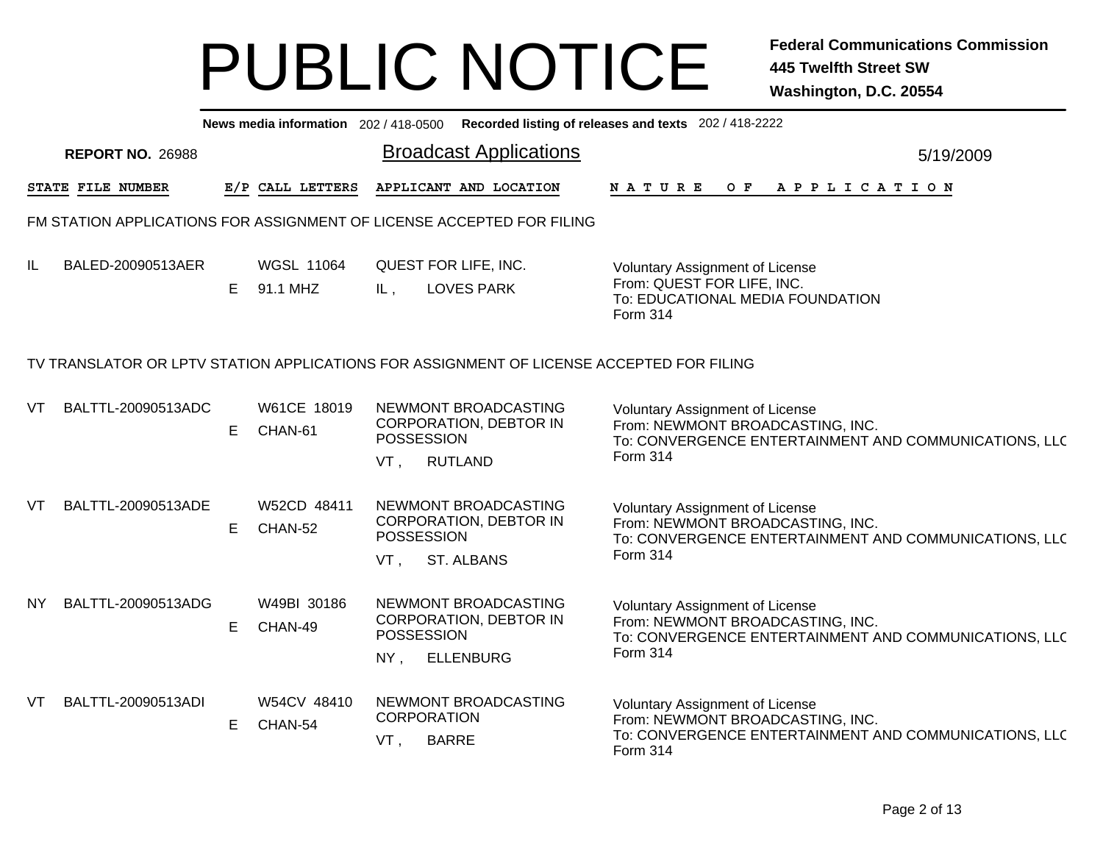|           | News media information 202/418-0500 Recorded listing of releases and texts 202/418-2222 |    |                               |                                                                                                          |                                                                                                                                                        |           |  |  |  |  |  |  |  |
|-----------|-----------------------------------------------------------------------------------------|----|-------------------------------|----------------------------------------------------------------------------------------------------------|--------------------------------------------------------------------------------------------------------------------------------------------------------|-----------|--|--|--|--|--|--|--|
|           | <b>REPORT NO. 26988</b>                                                                 |    |                               | <b>Broadcast Applications</b>                                                                            |                                                                                                                                                        | 5/19/2009 |  |  |  |  |  |  |  |
|           | STATE FILE NUMBER                                                                       |    | E/P CALL LETTERS              | APPLICANT AND LOCATION                                                                                   | OF APPLICATION<br>N A T U R E                                                                                                                          |           |  |  |  |  |  |  |  |
|           |                                                                                         |    |                               | FM STATION APPLICATIONS FOR ASSIGNMENT OF LICENSE ACCEPTED FOR FILING                                    |                                                                                                                                                        |           |  |  |  |  |  |  |  |
| IL.       | BALED-20090513AER                                                                       | E. | <b>WGSL 11064</b><br>91.1 MHZ | QUEST FOR LIFE, INC.<br><b>LOVES PARK</b><br>IL,                                                         | Voluntary Assignment of License<br>From: QUEST FOR LIFE, INC.<br>To: EDUCATIONAL MEDIA FOUNDATION<br>Form 314                                          |           |  |  |  |  |  |  |  |
|           |                                                                                         |    |                               | TV TRANSLATOR OR LPTV STATION APPLICATIONS FOR ASSIGNMENT OF LICENSE ACCEPTED FOR FILING                 |                                                                                                                                                        |           |  |  |  |  |  |  |  |
| VT        | BALTTL-20090513ADC                                                                      | E  | W61CE 18019<br>CHAN-61        | NEWMONT BROADCASTING<br>CORPORATION, DEBTOR IN<br><b>POSSESSION</b><br><b>RUTLAND</b><br>VT,             | <b>Voluntary Assignment of License</b><br>From: NEWMONT BROADCASTING, INC.<br>To: CONVERGENCE ENTERTAINMENT AND COMMUNICATIONS, LLC<br>Form 314        |           |  |  |  |  |  |  |  |
| VT.       | BALTTL-20090513ADE                                                                      | E. | W52CD 48411<br>CHAN-52        | NEWMONT BROADCASTING<br><b>CORPORATION, DEBTOR IN</b><br>POSSESSION<br>$VT$ ,<br>ST. ALBANS              | <b>Voluntary Assignment of License</b><br>From: NEWMONT BROADCASTING, INC.<br>To: CONVERGENCE ENTERTAINMENT AND COMMUNICATIONS, LLC<br>Form 314        |           |  |  |  |  |  |  |  |
| <b>NY</b> | BALTTL-20090513ADG                                                                      | E. | W49BI 30186<br>CHAN-49        | NEWMONT BROADCASTING<br><b>CORPORATION, DEBTOR IN</b><br><b>POSSESSION</b><br>$NY$ ,<br><b>ELLENBURG</b> | <b>Voluntary Assignment of License</b><br>From: NEWMONT BROADCASTING, INC.<br>To: CONVERGENCE ENTERTAINMENT AND COMMUNICATIONS, LLC<br><b>Form 314</b> |           |  |  |  |  |  |  |  |
| VT        | BALTTL-20090513ADI                                                                      | E. | W54CV 48410<br>CHAN-54        | NEWMONT BROADCASTING<br><b>CORPORATION</b><br><b>BARRE</b><br>VT,                                        | <b>Voluntary Assignment of License</b><br>From: NEWMONT BROADCASTING, INC.<br>To: CONVERGENCE ENTERTAINMENT AND COMMUNICATIONS, LLC<br>Form 314        |           |  |  |  |  |  |  |  |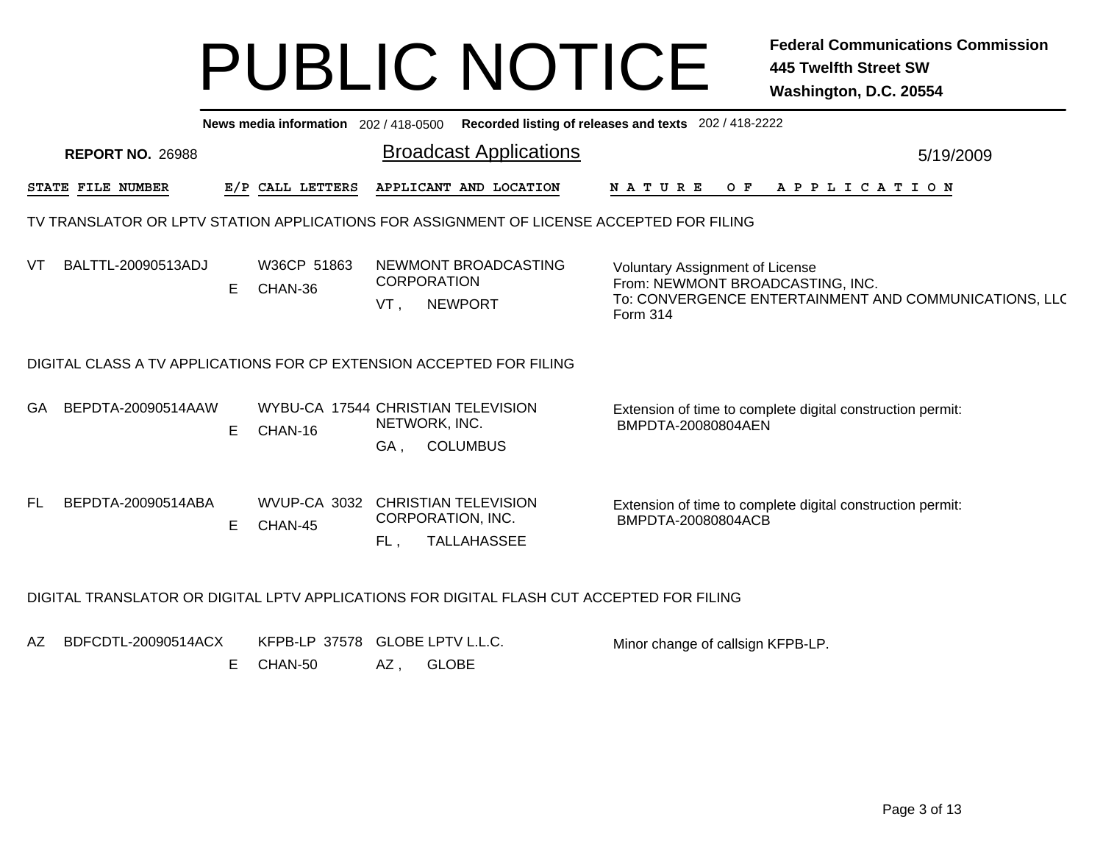|     | News media information 202 / 418-0500 Recorded listing of releases and texts 202 / 418-2222 |   |                        |                                                                                           |                                                                                                                                                 |  |  |  |  |  |  |  |
|-----|---------------------------------------------------------------------------------------------|---|------------------------|-------------------------------------------------------------------------------------------|-------------------------------------------------------------------------------------------------------------------------------------------------|--|--|--|--|--|--|--|
|     | <b>REPORT NO. 26988</b>                                                                     |   |                        | <b>Broadcast Applications</b>                                                             | 5/19/2009                                                                                                                                       |  |  |  |  |  |  |  |
|     | STATE FILE NUMBER                                                                           |   | E/P CALL LETTERS       | APPLICANT AND LOCATION                                                                    | <b>NATURE</b><br>OF APPLICATION                                                                                                                 |  |  |  |  |  |  |  |
|     | TV TRANSLATOR OR LPTV STATION APPLICATIONS FOR ASSIGNMENT OF LICENSE ACCEPTED FOR FILING    |   |                        |                                                                                           |                                                                                                                                                 |  |  |  |  |  |  |  |
| VT  | BALTTL-20090513ADJ                                                                          | Е | W36CP 51863<br>CHAN-36 | NEWMONT BROADCASTING<br><b>CORPORATION</b><br><b>NEWPORT</b><br>VT,                       | <b>Voluntary Assignment of License</b><br>From: NEWMONT BROADCASTING, INC.<br>To: CONVERGENCE ENTERTAINMENT AND COMMUNICATIONS, LLC<br>Form 314 |  |  |  |  |  |  |  |
|     |                                                                                             |   |                        | DIGITAL CLASS A TV APPLICATIONS FOR CP EXTENSION ACCEPTED FOR FILING                      |                                                                                                                                                 |  |  |  |  |  |  |  |
| GA  | BEPDTA-20090514AAW                                                                          | Е | CHAN-16                | WYBU-CA 17544 CHRISTIAN TELEVISION<br>NETWORK, INC.<br><b>COLUMBUS</b><br>GA,             | Extension of time to complete digital construction permit:<br>BMPDTA-20080804AEN                                                                |  |  |  |  |  |  |  |
| FL. | BEPDTA-20090514ABA                                                                          | Е | CHAN-45                | WVUP-CA 3032 CHRISTIAN TELEVISION<br>CORPORATION, INC.<br><b>TALLAHASSEE</b><br>FL.       | Extension of time to complete digital construction permit:<br>BMPDTA-20080804ACB                                                                |  |  |  |  |  |  |  |
|     |                                                                                             |   |                        | DIGITAL TRANSLATOR OR DIGITAL LPTV APPLICATIONS FOR DIGITAL FLASH CUT ACCEPTED FOR FILING |                                                                                                                                                 |  |  |  |  |  |  |  |
| AZ  | BDFCDTL-20090514ACX                                                                         | Е | CHAN-50                | KFPB-LP 37578 GLOBE LPTV L.L.C.<br><b>GLOBE</b><br>AZ,                                    | Minor change of callsign KFPB-LP.                                                                                                               |  |  |  |  |  |  |  |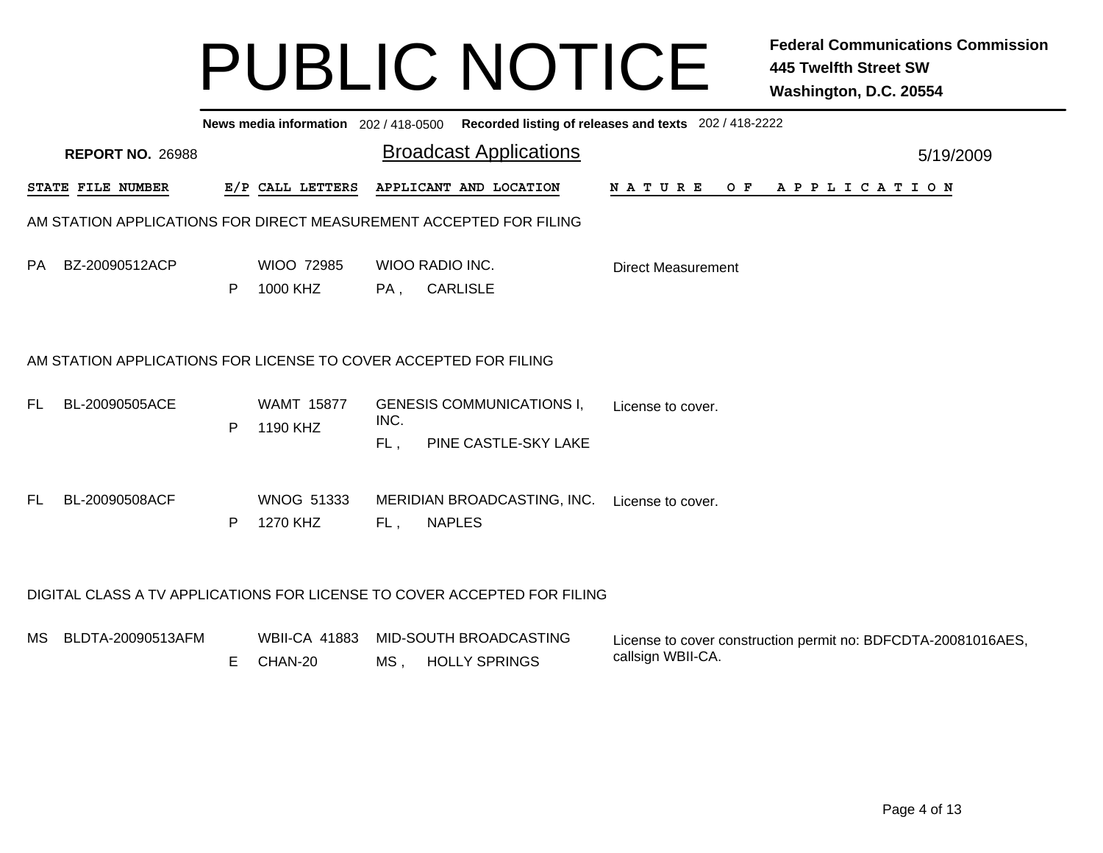|                                                                    | News media information 202 / 418-0500 Recorded listing of releases and texts 202 / 418-2222 |   |                                 |             |                                                                          |                                                                                    |           |  |  |  |  |  |
|--------------------------------------------------------------------|---------------------------------------------------------------------------------------------|---|---------------------------------|-------------|--------------------------------------------------------------------------|------------------------------------------------------------------------------------|-----------|--|--|--|--|--|
|                                                                    | <b>REPORT NO. 26988</b>                                                                     |   |                                 |             | <b>Broadcast Applications</b>                                            |                                                                                    | 5/19/2009 |  |  |  |  |  |
|                                                                    | STATE FILE NUMBER                                                                           |   | E/P CALL LETTERS                |             | APPLICANT AND LOCATION                                                   | NATURE OF APPLICATION                                                              |           |  |  |  |  |  |
| AM STATION APPLICATIONS FOR DIRECT MEASUREMENT ACCEPTED FOR FILING |                                                                                             |   |                                 |             |                                                                          |                                                                                    |           |  |  |  |  |  |
| PA.                                                                | BZ-20090512ACP                                                                              | P | WIOO 72985<br>1000 KHZ          | PA,         | WIOO RADIO INC.<br><b>CARLISLE</b>                                       | <b>Direct Measurement</b>                                                          |           |  |  |  |  |  |
|                                                                    | AM STATION APPLICATIONS FOR LICENSE TO COVER ACCEPTED FOR FILING                            |   |                                 |             |                                                                          |                                                                                    |           |  |  |  |  |  |
| FL.                                                                | BL-20090505ACE                                                                              | P | <b>WAMT 15877</b><br>1190 KHZ   | INC.<br>FL. | <b>GENESIS COMMUNICATIONS I,</b><br>PINE CASTLE-SKY LAKE                 | License to cover.                                                                  |           |  |  |  |  |  |
| FL.                                                                | BL-20090508ACF                                                                              | P | <b>WNOG 51333</b><br>1270 KHZ   | FL,         | MERIDIAN BROADCASTING, INC.<br><b>NAPLES</b>                             | License to cover.                                                                  |           |  |  |  |  |  |
|                                                                    |                                                                                             |   |                                 |             | DIGITAL CLASS A TV APPLICATIONS FOR LICENSE TO COVER ACCEPTED FOR FILING |                                                                                    |           |  |  |  |  |  |
| МS                                                                 | BLDTA-20090513AFM                                                                           | E | <b>WBII-CA 41883</b><br>CHAN-20 | MS,         | MID-SOUTH BROADCASTING<br><b>HOLLY SPRINGS</b>                           | License to cover construction permit no: BDFCDTA-20081016AES,<br>callsign WBII-CA. |           |  |  |  |  |  |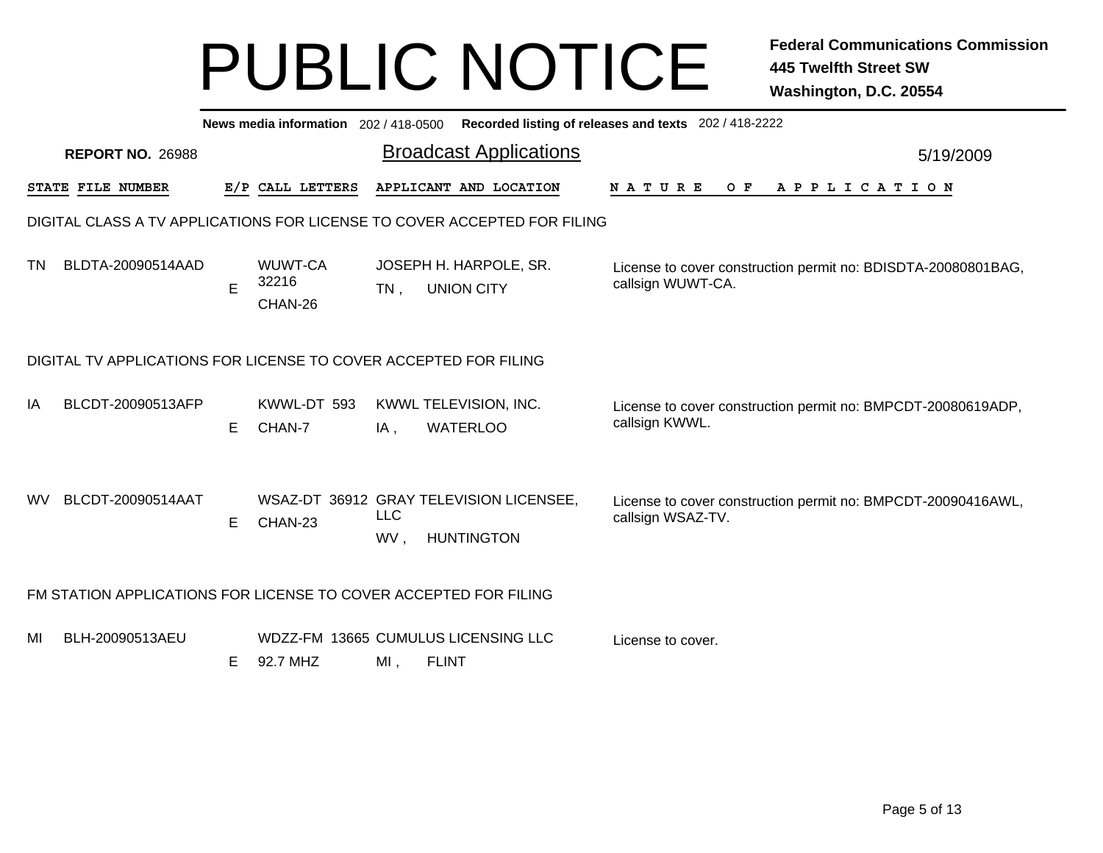|    | News media information 202 / 418-0500 Recorded listing of releases and texts 202 / 418-2222 |    |                             |                   |                                                              |                                                                                    |           |  |  |  |  |  |
|----|---------------------------------------------------------------------------------------------|----|-----------------------------|-------------------|--------------------------------------------------------------|------------------------------------------------------------------------------------|-----------|--|--|--|--|--|
|    | <b>REPORT NO. 26988</b>                                                                     |    |                             |                   | <b>Broadcast Applications</b>                                |                                                                                    | 5/19/2009 |  |  |  |  |  |
|    | STATE FILE NUMBER                                                                           |    | E/P CALL LETTERS            |                   | APPLICANT AND LOCATION                                       | <b>NATURE</b><br>O F<br>A P P L I C A T I O N                                      |           |  |  |  |  |  |
|    | DIGITAL CLASS A TV APPLICATIONS FOR LICENSE TO COVER ACCEPTED FOR FILING                    |    |                             |                   |                                                              |                                                                                    |           |  |  |  |  |  |
| TN | BLDTA-20090514AAD                                                                           | E  | WUWT-CA<br>32216<br>CHAN-26 | $TN$ .            | JOSEPH H. HARPOLE, SR.<br><b>UNION CITY</b>                  | License to cover construction permit no: BDISDTA-20080801BAG,<br>callsign WUWT-CA. |           |  |  |  |  |  |
|    | DIGITAL TV APPLICATIONS FOR LICENSE TO COVER ACCEPTED FOR FILING                            |    |                             |                   |                                                              |                                                                                    |           |  |  |  |  |  |
| IA | BLCDT-20090513AFP                                                                           | E. | KWWL-DT 593<br>CHAN-7       | IA,               | KWWL TELEVISION, INC.<br><b>WATERLOO</b>                     | License to cover construction permit no: BMPCDT-20080619ADP,<br>callsign KWWL.     |           |  |  |  |  |  |
| WV | BLCDT-20090514AAT                                                                           | E  | CHAN-23                     | <b>LLC</b><br>WV. | WSAZ-DT 36912 GRAY TELEVISION LICENSEE,<br><b>HUNTINGTON</b> | License to cover construction permit no: BMPCDT-20090416AWL,<br>callsign WSAZ-TV.  |           |  |  |  |  |  |
|    | FM STATION APPLICATIONS FOR LICENSE TO COVER ACCEPTED FOR FILING                            |    |                             |                   |                                                              |                                                                                    |           |  |  |  |  |  |
| MI | BLH-20090513AEU                                                                             | Е  | 92.7 MHZ                    | MI,               | WDZZ-FM 13665 CUMULUS LICENSING LLC<br><b>FLINT</b>          | License to cover.                                                                  |           |  |  |  |  |  |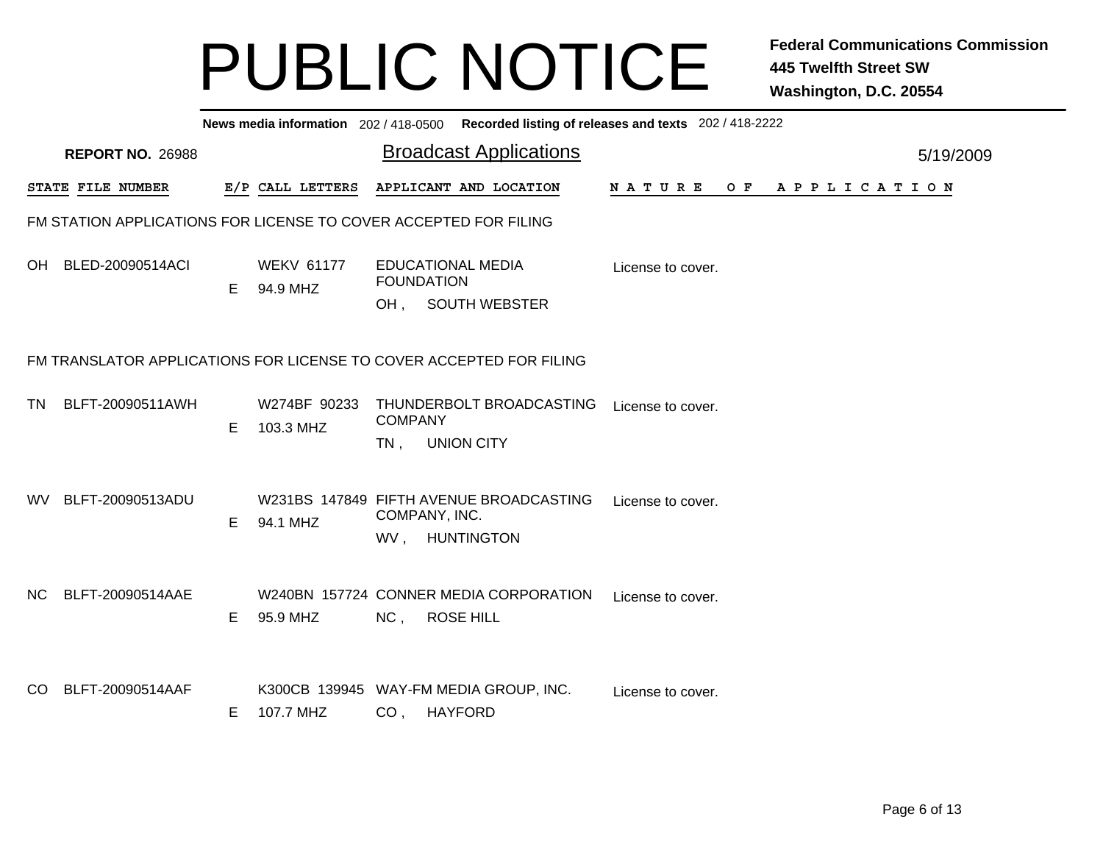|           | News media information 202/418-0500 Recorded listing of releases and texts 202/418-2222 |    |                               |                                                                                                  |           |  |  |  |  |  |  |
|-----------|-----------------------------------------------------------------------------------------|----|-------------------------------|--------------------------------------------------------------------------------------------------|-----------|--|--|--|--|--|--|
|           | <b>REPORT NO. 26988</b>                                                                 |    |                               | <b>Broadcast Applications</b>                                                                    | 5/19/2009 |  |  |  |  |  |  |
|           | STATE FILE NUMBER                                                                       |    | E/P CALL LETTERS              | APPLICANT AND LOCATION<br>NATURE OF APPLICATION                                                  |           |  |  |  |  |  |  |
|           |                                                                                         |    |                               | FM STATION APPLICATIONS FOR LICENSE TO COVER ACCEPTED FOR FILING                                 |           |  |  |  |  |  |  |
| OH        | BLED-20090514ACI                                                                        | E  | <b>WEKV 61177</b><br>94.9 MHZ | <b>EDUCATIONAL MEDIA</b><br>License to cover.<br><b>FOUNDATION</b><br>OH, SOUTH WEBSTER          |           |  |  |  |  |  |  |
|           | FM TRANSLATOR APPLICATIONS FOR LICENSE TO COVER ACCEPTED FOR FILING                     |    |                               |                                                                                                  |           |  |  |  |  |  |  |
| TN        | BLFT-20090511AWH                                                                        | Е  | W274BF 90233<br>103.3 MHZ     | THUNDERBOLT BROADCASTING<br>License to cover.<br><b>COMPANY</b><br><b>UNION CITY</b><br>TN,      |           |  |  |  |  |  |  |
| WV .      | BLFT-20090513ADU                                                                        | E  | 94.1 MHZ                      | W231BS 147849 FIFTH AVENUE BROADCASTING<br>License to cover.<br>COMPANY, INC.<br>WV, HUNTINGTON  |           |  |  |  |  |  |  |
| NC.       | BLFT-20090514AAE                                                                        | E. | 95.9 MHZ                      | W240BN 157724 CONNER MEDIA CORPORATION<br>License to cover.<br>NC,<br><b>ROSE HILL</b>           |           |  |  |  |  |  |  |
| <b>CO</b> | BLFT-20090514AAF                                                                        | E. | 107.7 MHZ                     | K300CB 139945 WAY-FM MEDIA GROUP, INC.<br>License to cover.<br>CO <sub>1</sub><br><b>HAYFORD</b> |           |  |  |  |  |  |  |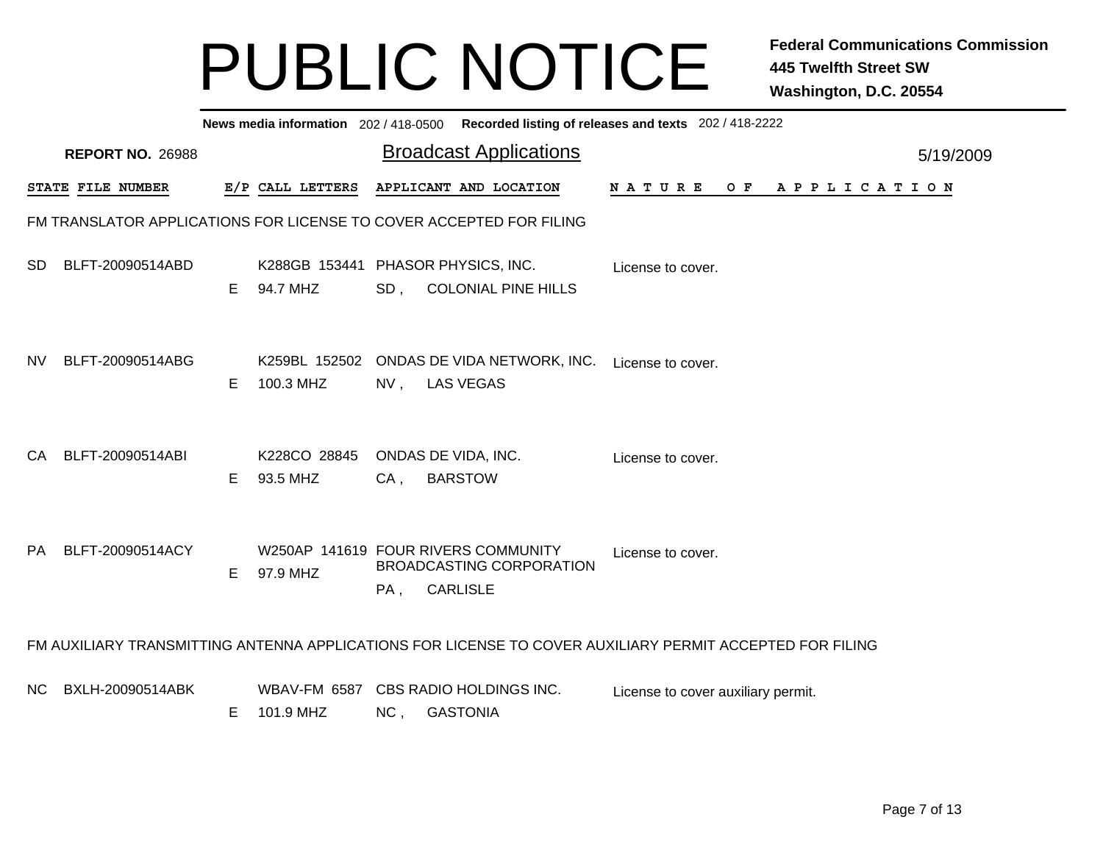|                                                                     | News media information 202 / 418-0500 Recorded listing of releases and texts 202 / 418-2222              |    |                          |     |                                                                                           |                                    |  |  |  |  |  |  |
|---------------------------------------------------------------------|----------------------------------------------------------------------------------------------------------|----|--------------------------|-----|-------------------------------------------------------------------------------------------|------------------------------------|--|--|--|--|--|--|
|                                                                     | <b>REPORT NO. 26988</b>                                                                                  |    |                          |     | <b>Broadcast Applications</b>                                                             | 5/19/2009                          |  |  |  |  |  |  |
|                                                                     | STATE FILE NUMBER                                                                                        |    | E/P CALL LETTERS         |     | APPLICANT AND LOCATION                                                                    | N A T U R E<br>OF APPLICATION      |  |  |  |  |  |  |
| FM TRANSLATOR APPLICATIONS FOR LICENSE TO COVER ACCEPTED FOR FILING |                                                                                                          |    |                          |     |                                                                                           |                                    |  |  |  |  |  |  |
| SD.                                                                 | BLFT-20090514ABD                                                                                         | E. | 94.7 MHZ                 |     | K288GB 153441 PHASOR PHYSICS, INC.<br>SD, COLONIAL PINE HILLS                             | License to cover.                  |  |  |  |  |  |  |
| NV.                                                                 | BLFT-20090514ABG                                                                                         | E. | 100.3 MHZ                |     | K259BL 152502 ONDAS DE VIDA NETWORK, INC.<br>NV, LAS VEGAS                                | License to cover.                  |  |  |  |  |  |  |
| CA.                                                                 | BLFT-20090514ABI                                                                                         | E. | K228CO 28845<br>93.5 MHZ | CA. | ONDAS DE VIDA, INC.<br><b>BARSTOW</b>                                                     | License to cover.                  |  |  |  |  |  |  |
| PA.                                                                 | BLFT-20090514ACY                                                                                         | Е  | 97.9 MHZ                 | PA, | W250AP 141619 FOUR RIVERS COMMUNITY<br><b>BROADCASTING CORPORATION</b><br><b>CARLISLE</b> | License to cover.                  |  |  |  |  |  |  |
|                                                                     | FM AUXILIARY TRANSMITTING ANTENNA APPLICATIONS FOR LICENSE TO COVER AUXILIARY PERMIT ACCEPTED FOR FILING |    |                          |     |                                                                                           |                                    |  |  |  |  |  |  |
| NC.                                                                 | BXLH-20090514ABK                                                                                         | E. | 101.9 MHZ                |     | WBAV-FM 6587 CBS RADIO HOLDINGS INC.<br>NC, GASTONIA                                      | License to cover auxiliary permit. |  |  |  |  |  |  |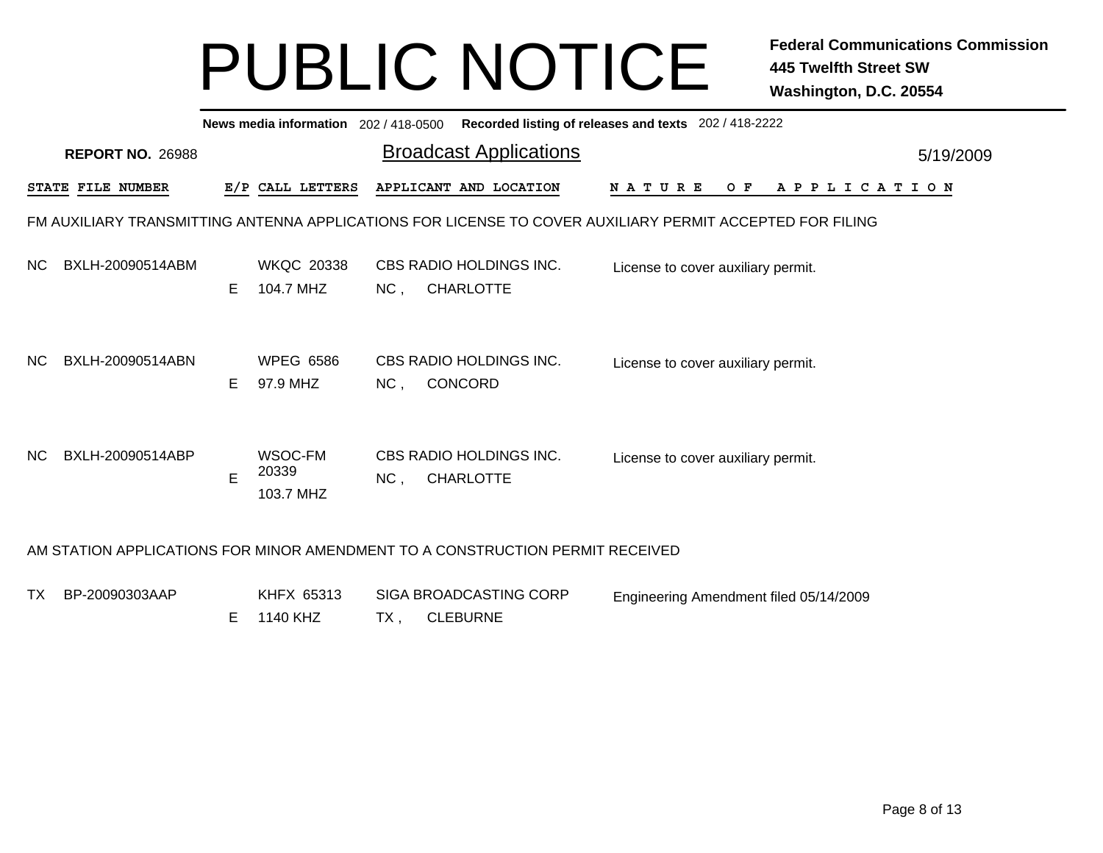|     | News media information 202/418-0500 Recorded listing of releases and texts 202/418-2222                  |    |                                |     |                                             |                                    |     |                       |           |  |  |  |
|-----|----------------------------------------------------------------------------------------------------------|----|--------------------------------|-----|---------------------------------------------|------------------------------------|-----|-----------------------|-----------|--|--|--|
|     | <b>REPORT NO. 26988</b>                                                                                  |    |                                |     | <b>Broadcast Applications</b>               |                                    |     |                       | 5/19/2009 |  |  |  |
|     | STATE FILE NUMBER                                                                                        |    | E/P CALL LETTERS               |     | APPLICANT AND LOCATION                      | N A T U R E                        | O F | A P P L I C A T I O N |           |  |  |  |
|     | FM AUXILIARY TRANSMITTING ANTENNA APPLICATIONS FOR LICENSE TO COVER AUXILIARY PERMIT ACCEPTED FOR FILING |    |                                |     |                                             |                                    |     |                       |           |  |  |  |
| NC. | BXLH-20090514ABM                                                                                         | E. | <b>WKQC 20338</b><br>104.7 MHZ | NC, | CBS RADIO HOLDINGS INC.<br><b>CHARLOTTE</b> | License to cover auxiliary permit. |     |                       |           |  |  |  |
| NC. | BXLH-20090514ABN                                                                                         | E. | <b>WPEG 6586</b><br>97.9 MHZ   | NC, | CBS RADIO HOLDINGS INC.<br>CONCORD          | License to cover auxiliary permit. |     |                       |           |  |  |  |
| NC. | BXLH-20090514ABP                                                                                         | E  | WSOC-FM<br>20339<br>103.7 MHZ  | NC, | CBS RADIO HOLDINGS INC.<br><b>CHARLOTTE</b> | License to cover auxiliary permit. |     |                       |           |  |  |  |
|     | AM STATION APPLICATIONS FOR MINOR AMENDMENT TO A CONSTRUCTION PERMIT RECEIVED                            |    |                                |     |                                             |                                    |     |                       |           |  |  |  |

| TX BP-20090303AAP | KHFX 65313 | SIGA BROADCASTING CORP | Engineering Amendment filed 05/14/2009 |
|-------------------|------------|------------------------|----------------------------------------|
|                   | E 1140 KHZ | TX , CLEBURNE          |                                        |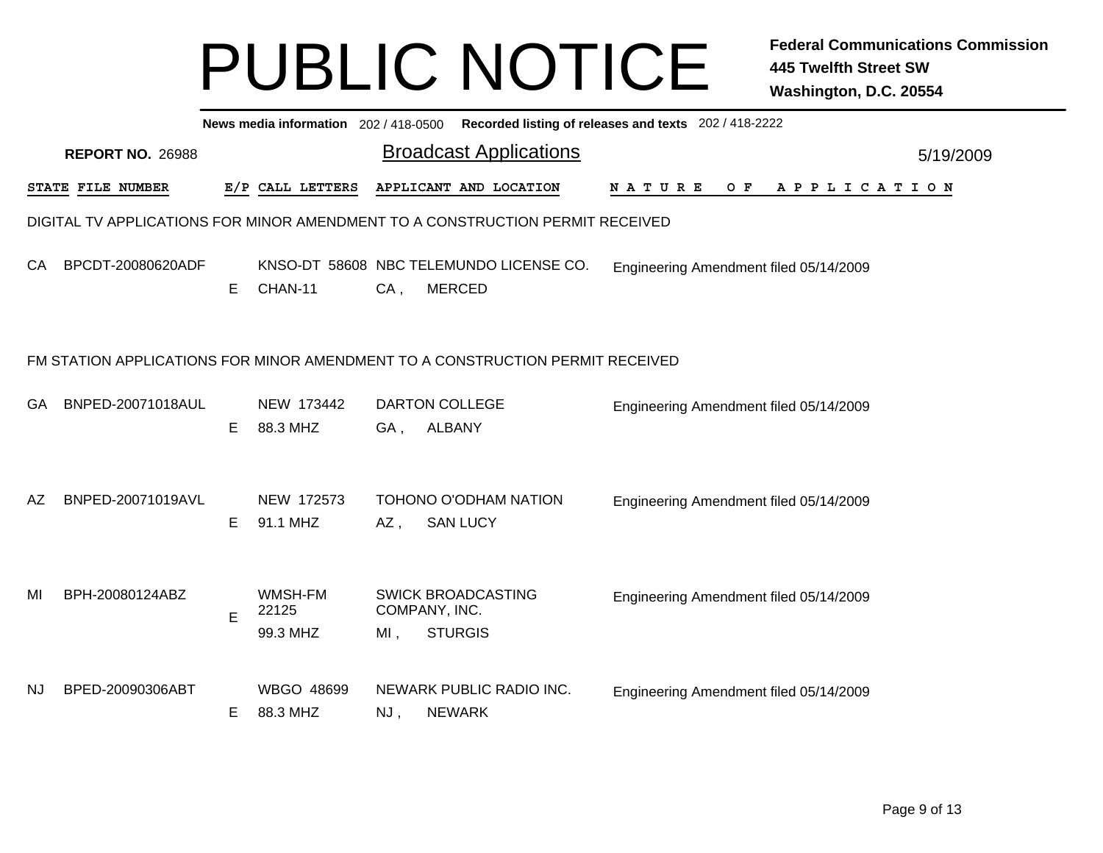|           | News media information 202/418-0500 Recorded listing of releases and texts 202/418-2222 |   |                              |        |                                                                               |                                        |  |  |  |  |     |  |  |             |  |           |  |
|-----------|-----------------------------------------------------------------------------------------|---|------------------------------|--------|-------------------------------------------------------------------------------|----------------------------------------|--|--|--|--|-----|--|--|-------------|--|-----------|--|
|           | <b>REPORT NO. 26988</b>                                                                 |   |                              |        | <b>Broadcast Applications</b>                                                 |                                        |  |  |  |  |     |  |  |             |  | 5/19/2009 |  |
|           | STATE FILE NUMBER                                                                       |   | E/P CALL LETTERS             |        | APPLICANT AND LOCATION                                                        | <b>NATURE</b>                          |  |  |  |  | O F |  |  | APPLICATION |  |           |  |
|           |                                                                                         |   |                              |        | DIGITAL TV APPLICATIONS FOR MINOR AMENDMENT TO A CONSTRUCTION PERMIT RECEIVED |                                        |  |  |  |  |     |  |  |             |  |           |  |
| CA        | BPCDT-20080620ADF                                                                       | E | CHAN-11                      | $CA$ , | KNSO-DT 58608 NBC TELEMUNDO LICENSE CO.<br><b>MERCED</b>                      | Engineering Amendment filed 05/14/2009 |  |  |  |  |     |  |  |             |  |           |  |
|           | FM STATION APPLICATIONS FOR MINOR AMENDMENT TO A CONSTRUCTION PERMIT RECEIVED           |   |                              |        |                                                                               |                                        |  |  |  |  |     |  |  |             |  |           |  |
| GA        | BNPED-20071018AUL                                                                       | Е | NEW 173442<br>88.3 MHZ       | GA,    | <b>DARTON COLLEGE</b><br><b>ALBANY</b>                                        | Engineering Amendment filed 05/14/2009 |  |  |  |  |     |  |  |             |  |           |  |
| AZ        | BNPED-20071019AVL                                                                       | Е | NEW 172573<br>91.1 MHZ       | $AZ$ , | TOHONO O'ODHAM NATION<br><b>SAN LUCY</b>                                      | Engineering Amendment filed 05/14/2009 |  |  |  |  |     |  |  |             |  |           |  |
| MI        | BPH-20080124ABZ                                                                         | E | WMSH-FM<br>22125<br>99.3 MHZ | $MI$ , | <b>SWICK BROADCASTING</b><br>COMPANY, INC.<br><b>STURGIS</b>                  | Engineering Amendment filed 05/14/2009 |  |  |  |  |     |  |  |             |  |           |  |
| <b>NJ</b> | BPED-20090306ABT                                                                        | Е | WBGO 48699<br>88.3 MHZ       | $NJ$ , | NEWARK PUBLIC RADIO INC.<br><b>NEWARK</b>                                     | Engineering Amendment filed 05/14/2009 |  |  |  |  |     |  |  |             |  |           |  |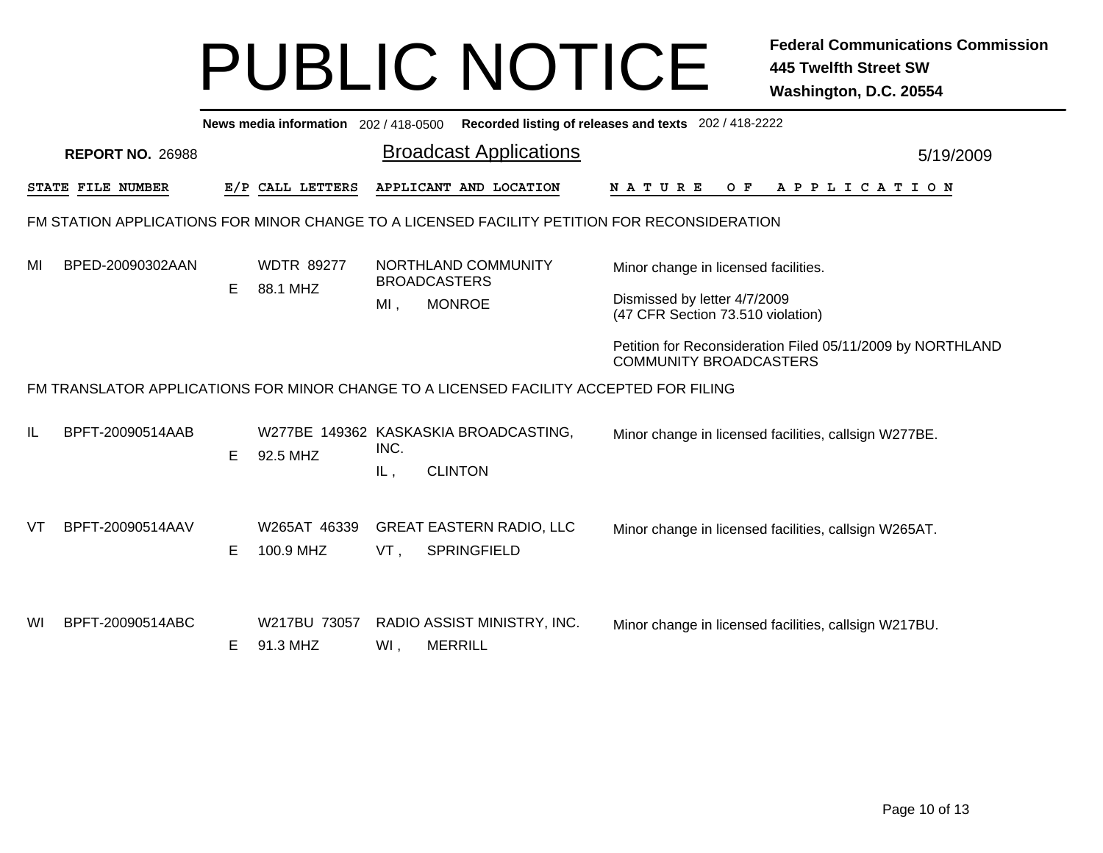|    | News media information 202 / 418-0500 Recorded listing of releases and texts 202 / 418-2222  |    |                               |        |                                                                                        |                                                                                             |           |  |  |  |  |  |
|----|----------------------------------------------------------------------------------------------|----|-------------------------------|--------|----------------------------------------------------------------------------------------|---------------------------------------------------------------------------------------------|-----------|--|--|--|--|--|
|    | <b>REPORT NO. 26988</b>                                                                      |    |                               |        | <b>Broadcast Applications</b>                                                          |                                                                                             | 5/19/2009 |  |  |  |  |  |
|    | <b>STATE FILE NUMBER</b>                                                                     |    | E/P CALL LETTERS              |        | APPLICANT AND LOCATION                                                                 | NATURE<br>O F<br>A P P L I C A T I O N                                                      |           |  |  |  |  |  |
|    | FM STATION APPLICATIONS FOR MINOR CHANGE TO A LICENSED FACILITY PETITION FOR RECONSIDERATION |    |                               |        |                                                                                        |                                                                                             |           |  |  |  |  |  |
| MI | BPED-20090302AAN                                                                             | E. | <b>WDTR 89277</b><br>88.1 MHZ |        | NORTHLAND COMMUNITY<br><b>BROADCASTERS</b>                                             | Minor change in licensed facilities.                                                        |           |  |  |  |  |  |
|    |                                                                                              |    |                               | $MI$ , | <b>MONROE</b>                                                                          | Dismissed by letter 4/7/2009<br>(47 CFR Section 73.510 violation)                           |           |  |  |  |  |  |
|    |                                                                                              |    |                               |        |                                                                                        | Petition for Reconsideration Filed 05/11/2009 by NORTHLAND<br><b>COMMUNITY BROADCASTERS</b> |           |  |  |  |  |  |
|    |                                                                                              |    |                               |        | FM TRANSLATOR APPLICATIONS FOR MINOR CHANGE TO A LICENSED FACILITY ACCEPTED FOR FILING |                                                                                             |           |  |  |  |  |  |
| IL | BPFT-20090514AAB                                                                             | E. | 92.5 MHZ                      | INC.   | W277BE 149362 KASKASKIA BROADCASTING,                                                  | Minor change in licensed facilities, callsign W277BE.                                       |           |  |  |  |  |  |
|    |                                                                                              |    |                               | IL,    | <b>CLINTON</b>                                                                         |                                                                                             |           |  |  |  |  |  |
| VT | BPFT-20090514AAV                                                                             | E. | W265AT 46339<br>100.9 MHZ     | VT,    | <b>GREAT EASTERN RADIO, LLC</b><br><b>SPRINGFIELD</b>                                  | Minor change in licensed facilities, callsign W265AT.                                       |           |  |  |  |  |  |
| WI | BPFT-20090514ABC                                                                             | E. | W217BU 73057<br>91.3 MHZ      | WI,    | RADIO ASSIST MINISTRY, INC.<br><b>MERRILL</b>                                          | Minor change in licensed facilities, callsign W217BU.                                       |           |  |  |  |  |  |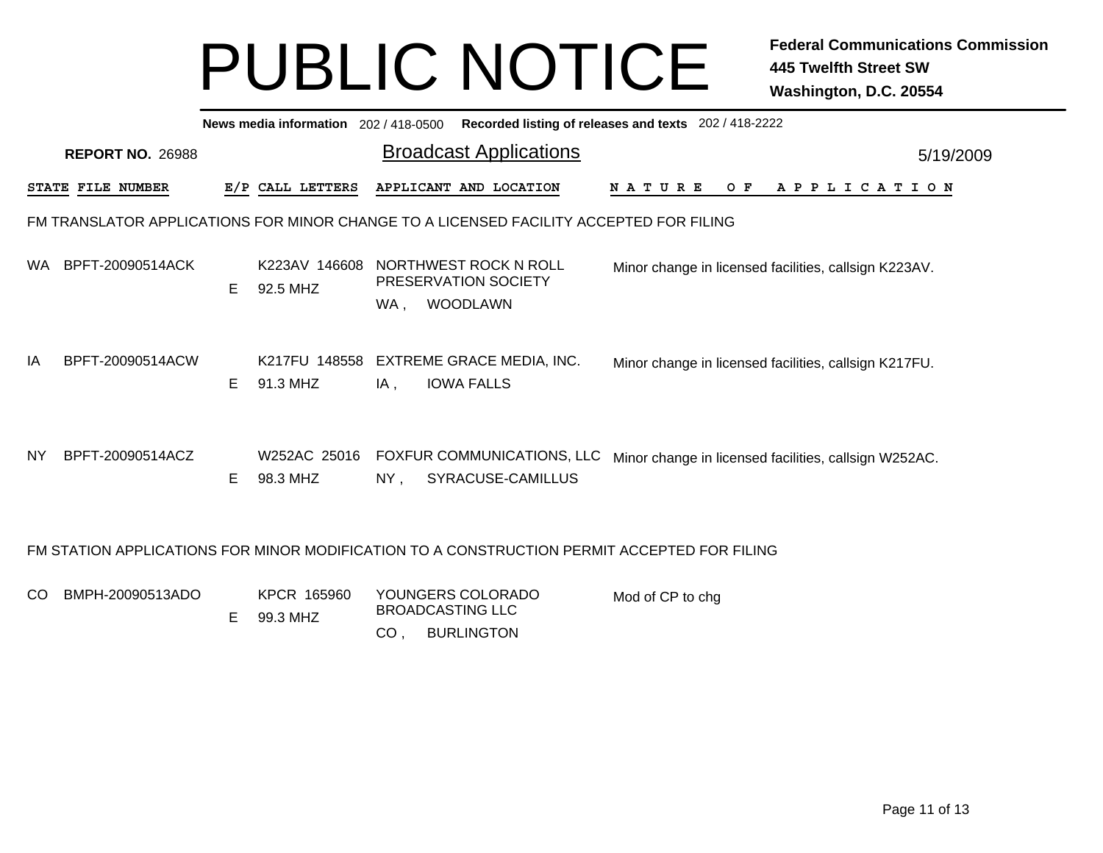|     | News media information 202 / 418-0500<br>Recorded listing of releases and texts 202 / 418-2222 |    |                           |     |                                                                  |                                                 |               |           |                                                       |  |  |  |
|-----|------------------------------------------------------------------------------------------------|----|---------------------------|-----|------------------------------------------------------------------|-------------------------------------------------|---------------|-----------|-------------------------------------------------------|--|--|--|
|     | <b>REPORT NO. 26988</b>                                                                        |    |                           |     |                                                                  | <b>Broadcast Applications</b>                   |               | 5/19/2009 |                                                       |  |  |  |
|     | STATE FILE NUMBER                                                                              |    | E/P CALL LETTERS          |     | APPLICANT AND LOCATION                                           |                                                 | <b>NATURE</b> | O F       | A P P L I C A T I O N                                 |  |  |  |
|     | FM TRANSLATOR APPLICATIONS FOR MINOR CHANGE TO A LICENSED FACILITY ACCEPTED FOR FILING         |    |                           |     |                                                                  |                                                 |               |           |                                                       |  |  |  |
| WA. | BPFT-20090514ACK                                                                               | E. | K223AV 146608<br>92.5 MHZ | WA, | NORTHWEST ROCK N ROLL<br>PRESERVATION SOCIETY<br><b>WOODLAWN</b> |                                                 |               |           | Minor change in licensed facilities, callsign K223AV. |  |  |  |
| IA  | BPFT-20090514ACW                                                                               | E. | K217FU 148558<br>91.3 MHZ | IA, | <b>IOWA FALLS</b>                                                | EXTREME GRACE MEDIA, INC.                       |               |           | Minor change in licensed facilities, callsign K217FU. |  |  |  |
| NY. | BPFT-20090514ACZ                                                                               | E. | W252AC 25016<br>98.3 MHZ  | NY, |                                                                  | FOXFUR COMMUNICATIONS, LLC<br>SYRACUSE-CAMILLUS |               |           | Minor change in licensed facilities, callsign W252AC. |  |  |  |
|     | FM STATION APPLICATIONS FOR MINOR MODIFICATION TO A CONSTRUCTION PERMIT ACCEPTED FOR FILING    |    |                           |     |                                                                  |                                                 |               |           |                                                       |  |  |  |

| CO BMPH-20090513ADO |  | KPCR 165960<br>99.3 MHZ | YOUNGERS COLORADO<br>BROADCASTING LLC | Mod of CP to chg |
|---------------------|--|-------------------------|---------------------------------------|------------------|
|                     |  |                         | <b>BURLINGTON</b>                     |                  |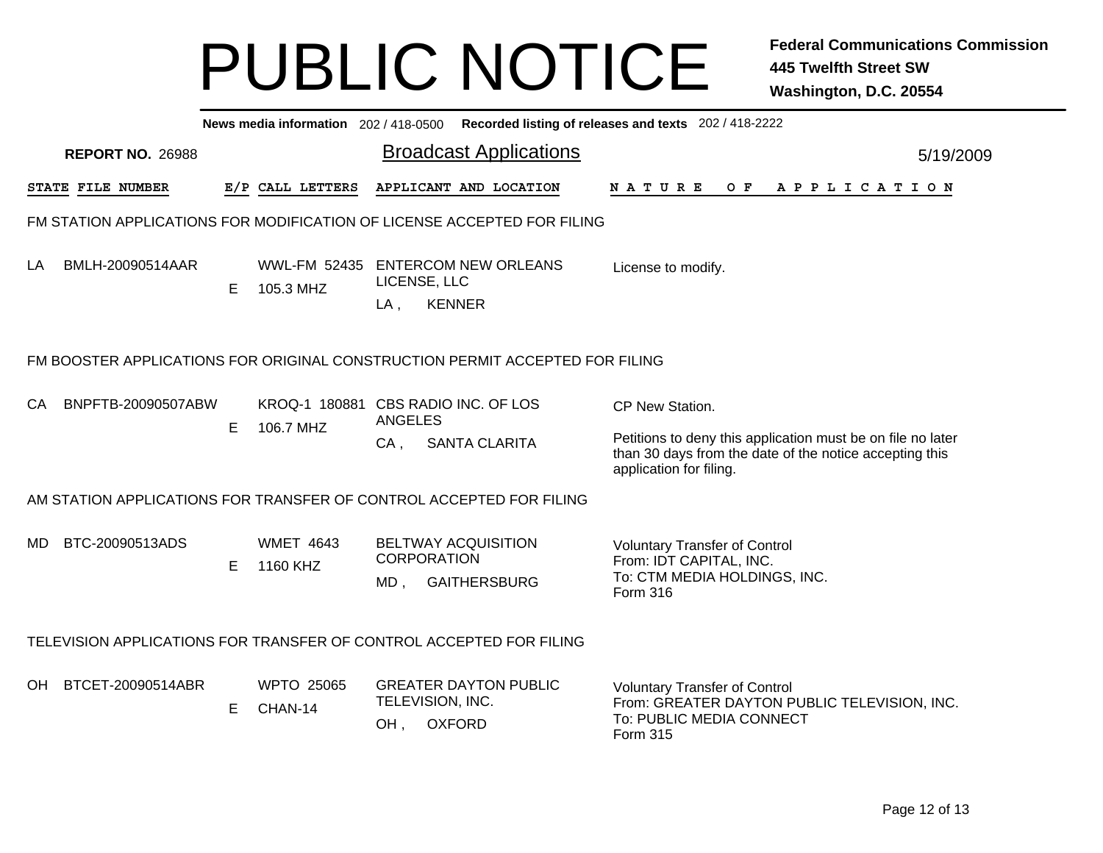|                                                                              | News media information 202/418-0500 Recorded listing of releases and texts 202/418-2222 |    |                                                  |                                         |                                                   |                                                                                                                                                                      |           |
|------------------------------------------------------------------------------|-----------------------------------------------------------------------------------------|----|--------------------------------------------------|-----------------------------------------|---------------------------------------------------|----------------------------------------------------------------------------------------------------------------------------------------------------------------------|-----------|
|                                                                              | <b>REPORT NO. 26988</b>                                                                 |    |                                                  |                                         | <b>Broadcast Applications</b>                     |                                                                                                                                                                      | 5/19/2009 |
|                                                                              | STATE FILE NUMBER                                                                       |    | E/P CALL LETTERS                                 |                                         | APPLICANT AND LOCATION                            | N A T U R E<br>O F<br>A P P L I C A T I O N                                                                                                                          |           |
| FM STATION APPLICATIONS FOR MODIFICATION OF LICENSE ACCEPTED FOR FILING      |                                                                                         |    |                                                  |                                         |                                                   |                                                                                                                                                                      |           |
| LA                                                                           | BMLH-20090514AAR                                                                        | E. | WWL-FM 52435 ENTERCOM NEW ORLEANS<br>105.3 MHZ   | LICENSE, LLC<br>$LA$ ,<br><b>KENNER</b> |                                                   | License to modify.                                                                                                                                                   |           |
| FM BOOSTER APPLICATIONS FOR ORIGINAL CONSTRUCTION PERMIT ACCEPTED FOR FILING |                                                                                         |    |                                                  |                                         |                                                   |                                                                                                                                                                      |           |
| CA                                                                           | BNPFTB-20090507ABW                                                                      | Е  | KROQ-1 180881 CBS RADIO INC. OF LOS<br>106.7 MHZ | ANGELES<br>CA,                          | <b>SANTA CLARITA</b>                              | CP New Station.<br>Petitions to deny this application must be on file no later<br>than 30 days from the date of the notice accepting this<br>application for filing. |           |
| AM STATION APPLICATIONS FOR TRANSFER OF CONTROL ACCEPTED FOR FILING          |                                                                                         |    |                                                  |                                         |                                                   |                                                                                                                                                                      |           |
| MD.                                                                          | BTC-20090513ADS                                                                         | E  | <b>WMET 4643</b><br>1160 KHZ                     | <b>CORPORATION</b><br>MD,               | <b>BELTWAY ACQUISITION</b><br><b>GAITHERSBURG</b> | <b>Voluntary Transfer of Control</b><br>From: IDT CAPITAL, INC.<br>To: CTM MEDIA HOLDINGS, INC.<br>Form 316                                                          |           |
| TELEVISION APPLICATIONS FOR TRANSFER OF CONTROL ACCEPTED FOR FILING          |                                                                                         |    |                                                  |                                         |                                                   |                                                                                                                                                                      |           |
| OH.                                                                          | BTCET-20090514ABR                                                                       | Е  | <b>WPTO 25065</b><br>CHAN-14                     | TELEVISION, INC.<br>OH,                 | <b>GREATER DAYTON PUBLIC</b><br><b>OXFORD</b>     | <b>Voluntary Transfer of Control</b><br>From: GREATER DAYTON PUBLIC TELEVISION, INC.<br>To: PUBLIC MEDIA CONNECT<br>Form 315                                         |           |